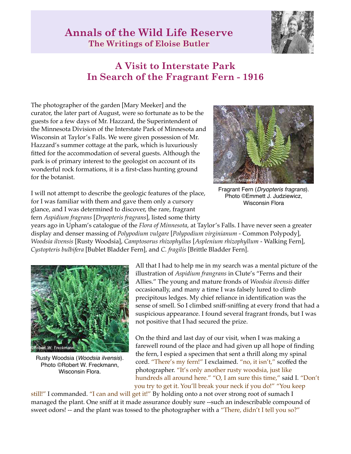## **Annals of the Wild Life Reserve The Writings of Eloise Butler**



## **A Visit to Interstate Park In Search of the Fragrant Fern - 1916**

The photographer of the garden [Mary Meeker] and the curator, the later part of August, were so fortunate as to be the guests for a few days of Mr. Hazzard, the Superintendent of the Minnesota Division of the Interstate Park of Minnesota and Wisconsin at Taylor's Falls. We were given possession of Mr. Hazzard's summer cottage at the park, which is luxuriously fitted for the accommodation of several guests. Although the park is of primary interest to the geologist on account of its wonderful rock formations, it is a first-class hunting ground for the botanist.



Fragrant Fern (*Dryopteris fragrans*). Photo ©Emmett J. Judziewicz, Wisconsin Flora

I will not attempt to describe the geologic features of the place, for I was familiar with them and gave them only a cursory glance, and I was determined to discover, the rare, fragrant fern *Aspidium fragrans* [*Dryopteris fragrans*], listed some thirty

years ago in Upham's catalogue of the *Flora of Minnesota*, at Taylor's Falls. I have never seen a greater display and denser massing of *Polypodium vulgare* [*Polypodium virginianum* - Common Polypody], *Woodsia ilvensis* [Rusty Woodsia], *Camptosorus rhizophyllus* [*Asplenium rhizophyllum* - Walking Fern], *Cystopteris bulbifera* [Bublet Bladder Fern], and *C. fragilis* [Brittle Bladder Fern].



Rusty Woodsia (*Woodsia ilvensis*). Photo ©Robert W. Freckmann, Wisconsin Flora.

All that I had to help me in my search was a mental picture of the illustration of *Aspidium frangrans* in Clute's "Ferns and their Allies." The young and mature fronds of *Woodsia ilvensis* differ occasionally, and many a time I was falsely lured to climb precipitous ledges. My chief reliance in identification was the sense of smell. So I climbed sniff-sniffing at every frond that had a suspicious appearance. I found several fragrant fronds, but I was not positive that I had secured the prize.

On the third and last day of our visit, when I was making a farewell round of the place and had given up all hope of finding the fern, I espied a specimen that sent a thrill along my spinal cord. "There's my fern!" I exclaimed. "no, it isn't," scoffed the photographer. "It's only another rusty woodsia, just like hundreds all around here." "O, I am sure this time," said I. "Don't you try to get it. You'll break your neck if you do!" "You keep

still!" I commanded. "I can and will get it!" By holding onto a not over strong root of sumach I managed the plant. One sniff at it made assurance doubly sure --such an indescribable compound of sweet odors! -- and the plant was tossed to the photographer with a "There, didn't I tell you so?"